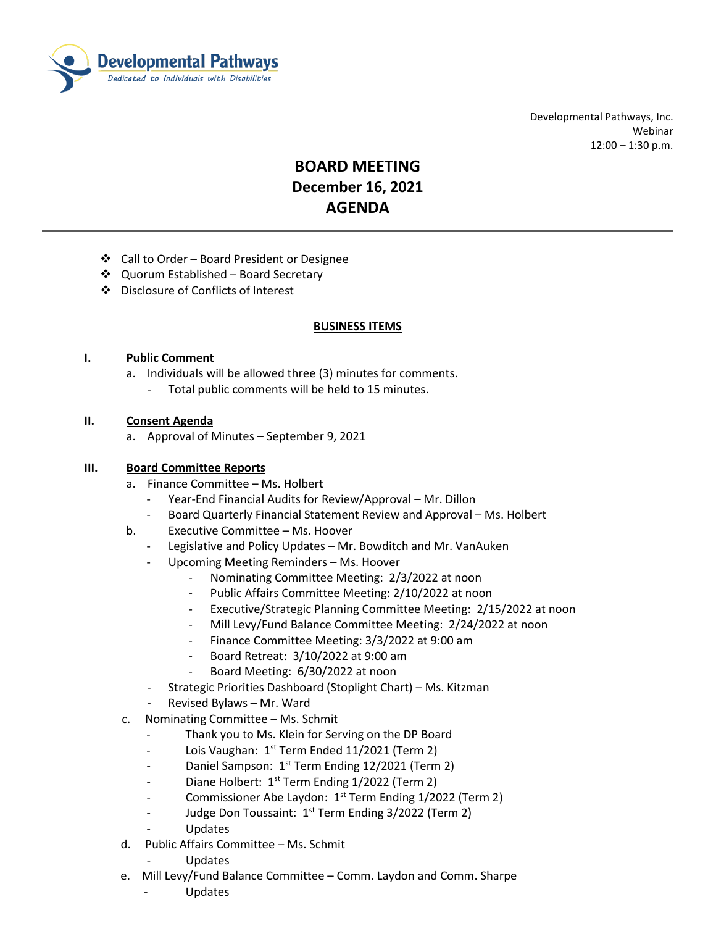

 Developmental Pathways, Inc. Webinar  $12:00 - 1:30$  p.m.

# **BOARD MEETING December 16, 2021 AGENDA**

- Call to Order Board President or Designee
- ❖ Quorum Established Board Secretary
- Disclosure of Conflicts of Interest

#### **BUSINESS ITEMS**

#### **I. Public Comment**

- a. Individuals will be allowed three (3) minutes for comments.
	- Total public comments will be held to 15 minutes.

#### **II. Consent Agenda**

a. Approval of Minutes – September 9, 2021

### **III. Board Committee Reports**

- a. Finance Committee Ms. Holbert
	- Year-End Financial Audits for Review/Approval Mr. Dillon
	- Board Quarterly Financial Statement Review and Approval Ms. Holbert
- b. Executive Committee Ms. Hoover
	- Legislative and Policy Updates Mr. Bowditch and Mr. VanAuken
	- Upcoming Meeting Reminders Ms. Hoover
		- Nominating Committee Meeting: 2/3/2022 at noon
		- Public Affairs Committee Meeting: 2/10/2022 at noon
		- Executive/Strategic Planning Committee Meeting: 2/15/2022 at noon
		- Mill Levy/Fund Balance Committee Meeting: 2/24/2022 at noon
		- Finance Committee Meeting: 3/3/2022 at 9:00 am
		- Board Retreat: 3/10/2022 at 9:00 am
		- Board Meeting: 6/30/2022 at noon
	- Strategic Priorities Dashboard (Stoplight Chart) Ms. Kitzman
	- Revised Bylaws Mr. Ward
- c. Nominating Committee Ms. Schmit
	- Thank you to Ms. Klein for Serving on the DP Board
	- Lois Vaughan:  $1^{st}$  Term Ended 11/2021 (Term 2)
	- Daniel Sampson: 1<sup>st</sup> Term Ending 12/2021 (Term 2)
	- Diane Holbert:  $1<sup>st</sup>$  Term Ending  $1/2022$  (Term 2)
	- Commissioner Abe Laydon: 1<sup>st</sup> Term Ending 1/2022 (Term 2)
	- Judge Don Toussaint: 1<sup>st</sup> Term Ending 3/2022 (Term 2)
	- Updates
- d. Public Affairs Committee Ms. Schmit
	- Updates
- e. Mill Levy/Fund Balance Committee Comm. Laydon and Comm. Sharpe
	- Updates